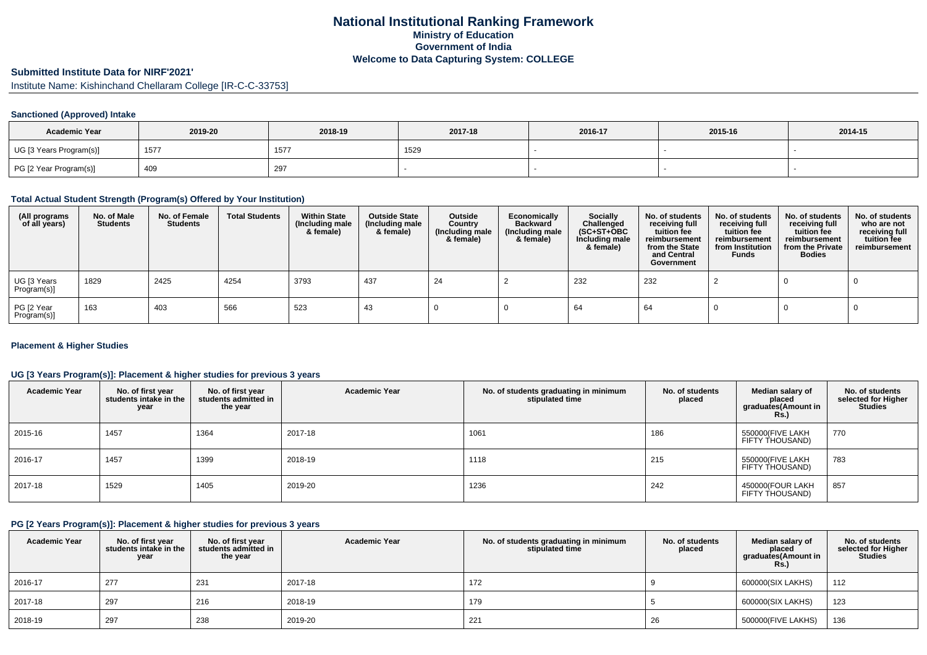# **National Institutional Ranking FrameworkMinistry of Education Government of IndiaWelcome to Data Capturing System: COLLEGE**

# **Submitted Institute Data for NIRF'2021'**

Institute Name: Kishinchand Chellaram College [IR-C-C-33753]

#### **Sanctioned (Approved) Intake**

| <b>Academic Year</b>    | 2019-20          | 2018-19 | 2017-18 | 2016-17 | 2015-16 | 2014-15 |
|-------------------------|------------------|---------|---------|---------|---------|---------|
| UG [3 Years Program(s)] | 157 <sub>1</sub> | 1577    | 1529    |         |         |         |
| PG [2 Year Program(s)]  | 409              | 297     |         |         |         |         |

### **Total Actual Student Strength (Program(s) Offered by Your Institution)**

| (All programs<br>of all years) | No. of Male<br><b>Students</b> | No. of Female<br><b>Students</b> | <b>Total Students</b> | <b>Within State</b><br>(Including male<br>& female) | <b>Outside State</b><br>(Including male<br>& female) | Outside<br>Country<br>(Including male<br>& female) | Economically<br><b>Backward</b><br>(Including male<br>& female) | <b>Socially</b><br>Challenged<br>$(SC+ST+OBC)$<br>Including male<br>& female) | No. of students<br>receiving full<br>tuition fee<br>reimbursement<br>from the State<br>and Central<br>Government | No. of students<br>receiving full<br>tuition fee<br>reimbursement<br>from Institution<br><b>Funds</b> | No. of students<br>receiving full<br>tuition fee<br>reimbursement<br>from the Private<br><b>Bodies</b> | No. of students<br>who are not<br>receiving full<br>tuition fee<br>reimbursement |
|--------------------------------|--------------------------------|----------------------------------|-----------------------|-----------------------------------------------------|------------------------------------------------------|----------------------------------------------------|-----------------------------------------------------------------|-------------------------------------------------------------------------------|------------------------------------------------------------------------------------------------------------------|-------------------------------------------------------------------------------------------------------|--------------------------------------------------------------------------------------------------------|----------------------------------------------------------------------------------|
| UG [3 Years<br>Program(s)]     | 1829                           | 2425                             | 4254                  | 3793                                                | 437                                                  | 24                                                 |                                                                 | 232                                                                           | 232                                                                                                              |                                                                                                       |                                                                                                        |                                                                                  |
| PG [2 Year<br>Program(s)]      | 163                            | 403                              | 566                   | 523                                                 | -43                                                  |                                                    |                                                                 | 64                                                                            | 64                                                                                                               |                                                                                                       |                                                                                                        |                                                                                  |

#### **Placement & Higher Studies**

### **UG [3 Years Program(s)]: Placement & higher studies for previous 3 years**

| <b>Academic Year</b> | No. of first year<br>students intake in the<br>year | No. of first year<br>students admitted in<br>the year | <b>Academic Year</b> | No. of students graduating in minimum<br>stipulated time | No. of students<br>placed | Median salary of<br>placed<br>graduates (Amount in<br><b>Rs.</b> ) | No. of students<br>selected for Higher<br><b>Studies</b> |
|----------------------|-----------------------------------------------------|-------------------------------------------------------|----------------------|----------------------------------------------------------|---------------------------|--------------------------------------------------------------------|----------------------------------------------------------|
| 2015-16              | 1457                                                | 1364                                                  | 2017-18              | 1061                                                     | 186                       | 550000(FIVE LAKH<br>FIFTY THOUSAND)                                | 770                                                      |
| 2016-17              | 1457                                                | 1399                                                  | 2018-19              | 1118                                                     | 215                       | 550000(FIVE LAKH<br>FIFTY THOUSAND)                                | 783                                                      |
| 2017-18              | 1529                                                | 1405                                                  | 2019-20              | 1236                                                     | 242                       | 450000(FOUR LAKH<br>FIFTY THOUSAND)                                | 857                                                      |

### **PG [2 Years Program(s)]: Placement & higher studies for previous 3 years**

| <b>Academic Year</b> | No. of first year<br>students intake in the<br>year | No. of first year<br>students admitted in<br>the year | <b>Academic Year</b> | No. of students graduating in minimum<br>stipulated time | No. of students<br>placed | Median salary of<br>placed<br>graduates(Amount in<br><b>Rs.)</b> | No. of students<br>selected for Higher<br><b>Studies</b> |
|----------------------|-----------------------------------------------------|-------------------------------------------------------|----------------------|----------------------------------------------------------|---------------------------|------------------------------------------------------------------|----------------------------------------------------------|
| 2016-17              | 277                                                 | 231                                                   | 2017-18              | 172                                                      |                           | 600000(SIX LAKHS)                                                | 112                                                      |
| 2017-18              | 297                                                 | 216                                                   | 2018-19              | 179                                                      |                           | 600000(SIX LAKHS)                                                | 123                                                      |
| 2018-19              | 297                                                 | 238                                                   | 2019-20              | 221                                                      | 26                        | 500000(FIVE LAKHS)                                               | 136                                                      |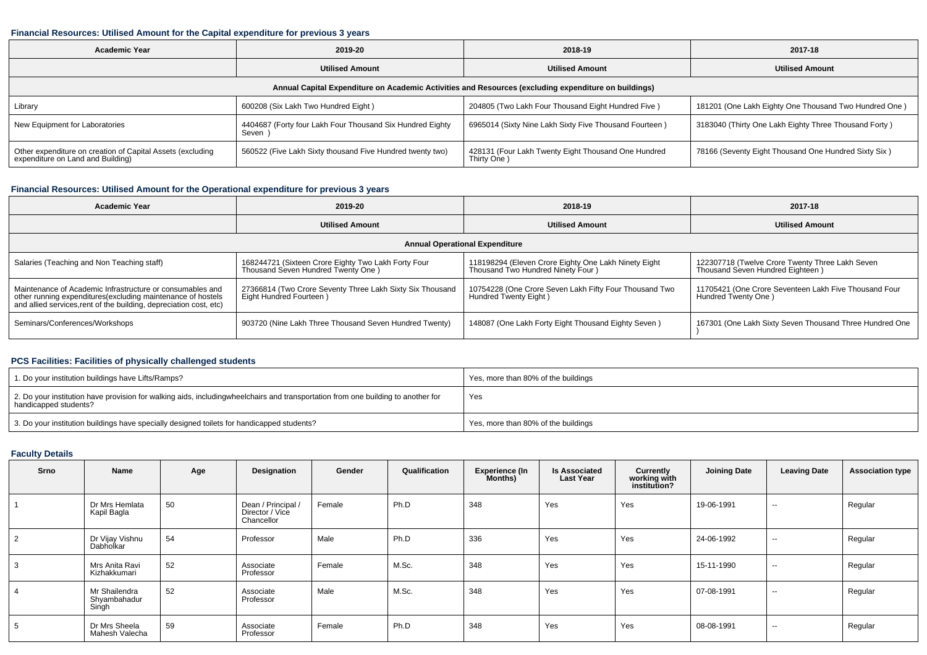#### **Financial Resources: Utilised Amount for the Capital expenditure for previous 3 years**

| <b>Academic Year</b>                                                                                 | 2019-20                                                            | 2018-19                                                            | 2017-18                                               |  |  |  |  |  |  |  |  |
|------------------------------------------------------------------------------------------------------|--------------------------------------------------------------------|--------------------------------------------------------------------|-------------------------------------------------------|--|--|--|--|--|--|--|--|
|                                                                                                      | <b>Utilised Amount</b>                                             | <b>Utilised Amount</b>                                             | <b>Utilised Amount</b>                                |  |  |  |  |  |  |  |  |
| Annual Capital Expenditure on Academic Activities and Resources (excluding expenditure on buildings) |                                                                    |                                                                    |                                                       |  |  |  |  |  |  |  |  |
| Library                                                                                              | 600208 (Six Lakh Two Hundred Eight)                                | 204805 (Two Lakh Four Thousand Eight Hundred Five)                 | 181201 (One Lakh Eighty One Thousand Two Hundred One) |  |  |  |  |  |  |  |  |
| New Equipment for Laboratories                                                                       | 4404687 (Forty four Lakh Four Thousand Six Hundred Eighty<br>Seven | 6965014 (Sixty Nine Lakh Sixty Five Thousand Fourteen)             | 3183040 (Thirty One Lakh Eighty Three Thousand Forty) |  |  |  |  |  |  |  |  |
| Other expenditure on creation of Capital Assets (excluding<br>expenditure on Land and Building)      | 560522 (Five Lakh Sixty thousand Five Hundred twenty two)          | 428131 (Four Lakh Twenty Eight Thousand One Hundred<br>Thirty One) | 78166 (Seventy Eight Thousand One Hundred Sixty Six)  |  |  |  |  |  |  |  |  |

#### **Financial Resources: Utilised Amount for the Operational expenditure for previous 3 years**

| <b>Academic Year</b>                                                                                                                                                                            | 2019-20                                                                                   | 2018-19                                                                                   | 2017-18                                                                             |  |
|-------------------------------------------------------------------------------------------------------------------------------------------------------------------------------------------------|-------------------------------------------------------------------------------------------|-------------------------------------------------------------------------------------------|-------------------------------------------------------------------------------------|--|
|                                                                                                                                                                                                 | <b>Utilised Amount</b>                                                                    | <b>Utilised Amount</b>                                                                    | <b>Utilised Amount</b>                                                              |  |
|                                                                                                                                                                                                 |                                                                                           | <b>Annual Operational Expenditure</b>                                                     |                                                                                     |  |
| Salaries (Teaching and Non Teaching staff)                                                                                                                                                      | 168244721 (Sixteen Crore Eighty Two Lakh Forty Four<br>Thousand Seven Hundred Twenty One) | 118198294 (Eleven Crore Eighty One Lakh Ninety Eight<br>Thousand Two Hundred Ninety Four) | 122307718 (Twelve Crore Twenty Three Lakh Seven<br>Thousand Seven Hundred Eighteen) |  |
| Maintenance of Academic Infrastructure or consumables and<br>other running expenditures (excluding maintenance of hostels<br>and allied services, rent of the building, depreciation cost, etc) | 27366814 (Two Crore Seventy Three Lakh Sixty Six Thousand<br>Eight Hundred Fourteen)      | 10754228 (One Crore Seven Lakh Fifty Four Thousand Two<br>Hundred Twenty Eight)           | 11705421 (One Crore Seventeen Lakh Five Thousand Four<br>Hundred Twenty One)        |  |
| Seminars/Conferences/Workshops                                                                                                                                                                  | 903720 (Nine Lakh Three Thousand Seven Hundred Twenty)                                    | 148087 (One Lakh Forty Eight Thousand Eighty Seven)                                       | 167301 (One Lakh Sixty Seven Thousand Three Hundred One                             |  |

# **PCS Facilities: Facilities of physically challenged students**

| 1. Do your institution buildings have Lifts/Ramps?                                                                                                        | Yes, more than 80% of the buildings |
|-----------------------------------------------------------------------------------------------------------------------------------------------------------|-------------------------------------|
| 2. Do your institution have provision for walking aids, includingwheelchairs and transportation from one building to another for<br>handicapped students? | Yes                                 |
| 3. Do your institution buildings have specially designed toilets for handicapped students?                                                                | Yes, more than 80% of the buildings |

# **Faculty Details**

| Srno           | Name                                   | Age | <b>Designation</b>                                  | Gender | Qualification | <b>Experience (In</b><br>Months) | <b>Is Associated</b><br><b>Last Year</b> | <b>Currently</b><br>working with<br>institution? | <b>Joining Date</b> | <b>Leaving Date</b>      | <b>Association type</b> |
|----------------|----------------------------------------|-----|-----------------------------------------------------|--------|---------------|----------------------------------|------------------------------------------|--------------------------------------------------|---------------------|--------------------------|-------------------------|
|                | Dr Mrs Hemlata<br>Kapil Bagla          | 50  | Dean / Principal /<br>Director / Vice<br>Chancellor | Female | Ph.D          | 348                              | Yes                                      | Yes                                              | 19-06-1991          | $\sim$                   | Regular                 |
| 2              | Dr Vijay Vishnu<br>Dabholkar           | 54  | Professor                                           | Male   | Ph.D          | 336                              | Yes                                      | Yes                                              | 24-06-1992          | $\overline{\phantom{a}}$ | Regular                 |
| 3              | Mrs Anita Ravi<br>Kizhakkumari         | 52  | Associate<br>Professor                              | Female | M.Sc.         | 348                              | Yes                                      | Yes                                              | 15-11-1990          | $\sim$                   | Regular                 |
| $\overline{4}$ | Mr Shailendra<br>Shyambahadur<br>Singh | 52  | Associate<br>Professor                              | Male   | M.Sc.         | 348                              | Yes                                      | Yes                                              | 07-08-1991          | $\sim$                   | Regular                 |
| 5              | Dr Mrs Sheela<br>Mahesh Valecha        | 59  | Associate<br>Professor                              | Female | Ph.D          | 348                              | Yes                                      | Yes                                              | 08-08-1991          | $\sim$                   | Regular                 |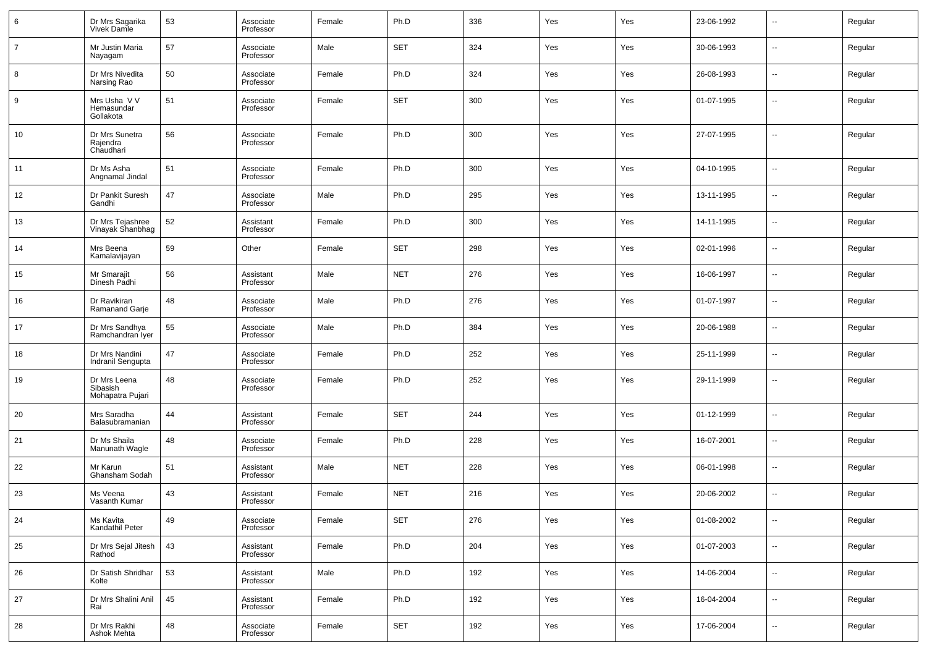| 6              | Dr Mrs Sagarika<br>Vivek Damle               | 53 | Associate<br>Professor | Female | Ph.D       | 336 | Yes | Yes | 23-06-1992 | $\overline{\phantom{a}}$ | Regular |
|----------------|----------------------------------------------|----|------------------------|--------|------------|-----|-----|-----|------------|--------------------------|---------|
| $\overline{7}$ | Mr Justin Maria<br>Nayagam                   | 57 | Associate<br>Professor | Male   | <b>SET</b> | 324 | Yes | Yes | 30-06-1993 | $\overline{\phantom{a}}$ | Regular |
| 8              | Dr Mrs Nivedita<br>Narsing Rao               | 50 | Associate<br>Professor | Female | Ph.D       | 324 | Yes | Yes | 26-08-1993 | $\overline{\phantom{a}}$ | Regular |
| 9              | Mrs Usha V V<br>Hemasundar<br>Gollakota      | 51 | Associate<br>Professor | Female | <b>SET</b> | 300 | Yes | Yes | 01-07-1995 | $\overline{\phantom{a}}$ | Regular |
| 10             | Dr Mrs Sunetra<br>Rajendra<br>Chaudhari      | 56 | Associate<br>Professor | Female | Ph.D       | 300 | Yes | Yes | 27-07-1995 | $\overline{a}$           | Regular |
| 11             | Dr Ms Asha<br>Angnamal Jindal                | 51 | Associate<br>Professor | Female | Ph.D       | 300 | Yes | Yes | 04-10-1995 | --                       | Regular |
| 12             | Dr Pankit Suresh<br>Gandhi                   | 47 | Associate<br>Professor | Male   | Ph.D       | 295 | Yes | Yes | 13-11-1995 | --                       | Regular |
| 13             | Dr Mrs Tejashree<br>Vinayak Shanbhag         | 52 | Assistant<br>Professor | Female | Ph.D       | 300 | Yes | Yes | 14-11-1995 | --                       | Regular |
| 14             | Mrs Beena<br>Kamalavijayan                   | 59 | Other                  | Female | <b>SET</b> | 298 | Yes | Yes | 02-01-1996 | --                       | Regular |
| 15             | Mr Smarajit<br>Dinesh Padhi                  | 56 | Assistant<br>Professor | Male   | <b>NET</b> | 276 | Yes | Yes | 16-06-1997 | --                       | Regular |
| 16             | Dr Ravikiran<br>Ramanand Garje               | 48 | Associate<br>Professor | Male   | Ph.D       | 276 | Yes | Yes | 01-07-1997 | --                       | Regular |
| 17             | Dr Mrs Sandhya<br>Ramchandran Iyer           | 55 | Associate<br>Professor | Male   | Ph.D       | 384 | Yes | Yes | 20-06-1988 | --                       | Regular |
| 18             | Dr Mrs Nandini<br>Indranil Sengupta          | 47 | Associate<br>Professor | Female | Ph.D       | 252 | Yes | Yes | 25-11-1999 | --                       | Regular |
| 19             | Dr Mrs Leena<br>Sibasish<br>Mohapatra Pujari | 48 | Associate<br>Professor | Female | Ph.D       | 252 | Yes | Yes | 29-11-1999 | --                       | Regular |
| 20             | Mrs Saradha<br>Balasubramanian               | 44 | Assistant<br>Professor | Female | <b>SET</b> | 244 | Yes | Yes | 01-12-1999 | --                       | Regular |
| 21             | Dr Ms Shaila<br>Manunath Wagle               | 48 | Associate<br>Professor | Female | Ph.D       | 228 | Yes | Yes | 16-07-2001 | $\sim$                   | Regular |
| 22             | Mr Karun<br>Ghansham Sodah                   | 51 | Assistant<br>Professor | Male   | <b>NET</b> | 228 | Yes | Yes | 06-01-1998 | --                       | Regular |
| 23             | Ms Veena<br>Vasanth Kumar                    | 43 | Assistant<br>Professor | Female | <b>NET</b> | 216 | Yes | Yes | 20-06-2002 | --                       | Regular |
| 24             | Ms Kavita<br>Kandathil Peter                 | 49 | Associate<br>Professor | Female | <b>SET</b> | 276 | Yes | Yes | 01-08-2002 | --                       | Regular |
| 25             | Dr Mrs Sejal Jitesh<br>Rathod                | 43 | Assistant<br>Professor | Female | Ph.D       | 204 | Yes | Yes | 01-07-2003 | $\overline{\phantom{a}}$ | Regular |
| 26             | Dr Satish Shridhar<br>Kolte                  | 53 | Assistant<br>Professor | Male   | Ph.D       | 192 | Yes | Yes | 14-06-2004 | $\overline{\phantom{a}}$ | Regular |
| 27             | Dr Mrs Shalini Anil<br>Rai                   | 45 | Assistant<br>Professor | Female | Ph.D       | 192 | Yes | Yes | 16-04-2004 | $\overline{\phantom{a}}$ | Regular |
| 28             | Dr Mrs Rakhi<br>Ashok Mehta                  | 48 | Associate<br>Professor | Female | <b>SET</b> | 192 | Yes | Yes | 17-06-2004 | $\overline{\phantom{a}}$ | Regular |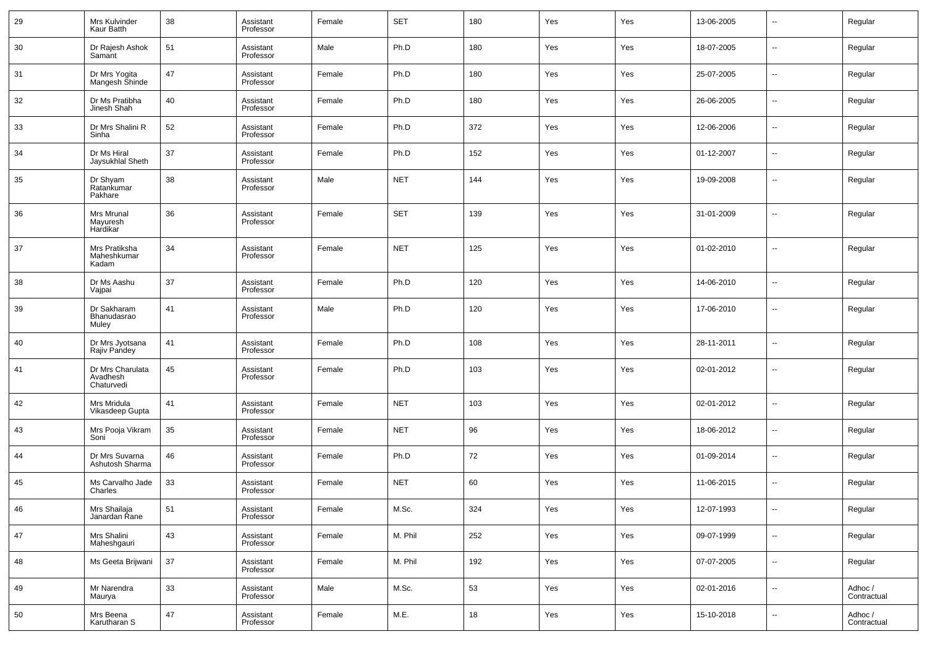| 29     | Mrs Kulvinder<br>Kaur Batth                | 38 | Assistant<br>Professor | Female | <b>SET</b> | 180 | Yes | Yes | 13-06-2005 | н.                       | Regular                |
|--------|--------------------------------------------|----|------------------------|--------|------------|-----|-----|-----|------------|--------------------------|------------------------|
| 30     | Dr Rajesh Ashok<br>Samant                  | 51 | Assistant<br>Professor | Male   | Ph.D       | 180 | Yes | Yes | 18-07-2005 | $\sim$                   | Regular                |
| 31     | Dr Mrs Yogita<br>Mangesh Shinde            | 47 | Assistant<br>Professor | Female | Ph.D       | 180 | Yes | Yes | 25-07-2005 | $\sim$                   | Regular                |
| 32     | Dr Ms Pratibha<br>Jinesh Shah              | 40 | Assistant<br>Professor | Female | Ph.D       | 180 | Yes | Yes | 26-06-2005 | $\sim$                   | Regular                |
| 33     | Dr Mrs Shalini R<br>Sinha                  | 52 | Assistant<br>Professor | Female | Ph.D       | 372 | Yes | Yes | 12-06-2006 | $\sim$                   | Regular                |
| 34     | Dr Ms Hiral<br>Jaysukhlal Sheth            | 37 | Assistant<br>Professor | Female | Ph.D       | 152 | Yes | Yes | 01-12-2007 | $\sim$                   | Regular                |
| 35     | Dr Shyam<br>Ratankumar<br>Pakhare          | 38 | Assistant<br>Professor | Male   | <b>NET</b> | 144 | Yes | Yes | 19-09-2008 | $\overline{\phantom{a}}$ | Regular                |
| 36     | Mrs Mrunal<br>Mayuresh<br>Hardikar         | 36 | Assistant<br>Professor | Female | <b>SET</b> | 139 | Yes | Yes | 31-01-2009 | $\overline{\phantom{a}}$ | Regular                |
| 37     | Mrs Pratiksha<br>Maheshkumar<br>Kadam      | 34 | Assistant<br>Professor | Female | <b>NET</b> | 125 | Yes | Yes | 01-02-2010 | -−                       | Regular                |
| 38     | Dr Ms Aashu<br>Vajpai                      | 37 | Assistant<br>Professor | Female | Ph.D       | 120 | Yes | Yes | 14-06-2010 | $\overline{\phantom{a}}$ | Regular                |
| 39     | Dr Sakharam<br>Bhanudasrao<br>Muley        | 41 | Assistant<br>Professor | Male   | Ph.D       | 120 | Yes | Yes | 17-06-2010 | ⊶.                       | Regular                |
| 40     | Dr Mrs Jyotsana<br>Rajiv Pandey            | 41 | Assistant<br>Professor | Female | Ph.D       | 108 | Yes | Yes | 28-11-2011 | -−                       | Regular                |
| 41     | Dr Mrs Charulata<br>Avadhesh<br>Chaturvedi | 45 | Assistant<br>Professor | Female | Ph.D       | 103 | Yes | Yes | 02-01-2012 | $\overline{\phantom{a}}$ | Regular                |
| 42     | Mrs Mridula<br>Vikasdeep Gupta             | 41 | Assistant<br>Professor | Female | <b>NET</b> | 103 | Yes | Yes | 02-01-2012 | ⊶.                       | Regular                |
| 43     | Mrs Pooja Vikram<br>Soni                   | 35 | Assistant<br>Professor | Female | <b>NET</b> | 96  | Yes | Yes | 18-06-2012 | ⊶.                       | Regular                |
| 44     | Dr Mrs Suvarna<br>Ashutosh Sharma          | 46 | Assistant<br>Professor | Female | Ph.D       | 72  | Yes | Yes | 01-09-2014 | ⊷                        | Regular                |
| 45     | Ms Carvalho Jade<br>Charles                | 33 | Assistant<br>Professor | Female | <b>NET</b> | 60  | Yes | Yes | 11-06-2015 | ⊶.                       | Regular                |
| 46     | Mrs Shailaja<br>Janardan Rane              | 51 | Assistant<br>Professor | Female | M.Sc.      | 324 | Yes | Yes | 12-07-1993 | ⊶.                       | Regular                |
| $47\,$ | Mrs Shalini<br>Maheshgauri                 | 43 | Assistant<br>Professor | Female | M. Phil    | 252 | Yes | Yes | 09-07-1999 | $\sim$                   | Regular                |
| 48     | Ms Geeta Brijwani                          | 37 | Assistant<br>Professor | Female | M. Phil    | 192 | Yes | Yes | 07-07-2005 | $\sim$                   | Regular                |
| 49     | Mr Narendra<br>Maurya                      | 33 | Assistant<br>Professor | Male   | M.Sc.      | 53  | Yes | Yes | 02-01-2016 | $\sim$                   | Adhoc /<br>Contractual |
| $50\,$ | Mrs Beena<br>Karutharan S                  | 47 | Assistant<br>Professor | Female | M.E.       | 18  | Yes | Yes | 15-10-2018 | ⊷                        | Adhoc /<br>Contractual |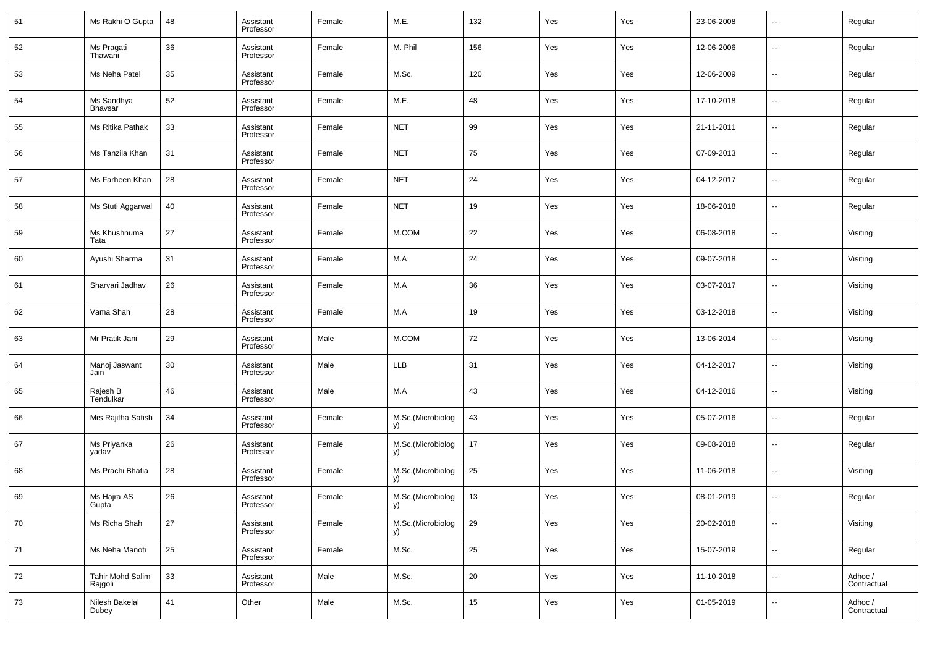| 51 | Ms Rakhi O Gupta                  | 48 | Assistant<br>Professor | Female | M.E.                          | 132    | Yes | Yes | 23-06-2008 | $\overline{\phantom{a}}$ | Regular                |
|----|-----------------------------------|----|------------------------|--------|-------------------------------|--------|-----|-----|------------|--------------------------|------------------------|
| 52 | Ms Pragati<br>Thawani             | 36 | Assistant<br>Professor | Female | M. Phil                       | 156    | Yes | Yes | 12-06-2006 | $\overline{\phantom{a}}$ | Regular                |
| 53 | Ms Neha Patel                     | 35 | Assistant<br>Professor | Female | M.Sc.                         | 120    | Yes | Yes | 12-06-2009 | $\overline{\phantom{a}}$ | Regular                |
| 54 | Ms Sandhya<br>Bhavsar             | 52 | Assistant<br>Professor | Female | M.E.                          | 48     | Yes | Yes | 17-10-2018 | $\overline{\phantom{a}}$ | Regular                |
| 55 | Ms Ritika Pathak                  | 33 | Assistant<br>Professor | Female | <b>NET</b>                    | 99     | Yes | Yes | 21-11-2011 | $\overline{\phantom{a}}$ | Regular                |
| 56 | Ms Tanzila Khan                   | 31 | Assistant<br>Professor | Female | <b>NET</b>                    | 75     | Yes | Yes | 07-09-2013 | $\overline{\phantom{a}}$ | Regular                |
| 57 | Ms Farheen Khan                   | 28 | Assistant<br>Professor | Female | <b>NET</b>                    | 24     | Yes | Yes | 04-12-2017 | $\overline{\phantom{a}}$ | Regular                |
| 58 | Ms Stuti Aggarwal                 | 40 | Assistant<br>Professor | Female | <b>NET</b>                    | 19     | Yes | Yes | 18-06-2018 | $\overline{\phantom{a}}$ | Regular                |
| 59 | Ms Khushnuma<br>Tata              | 27 | Assistant<br>Professor | Female | M.COM                         | 22     | Yes | Yes | 06-08-2018 | $\overline{\phantom{a}}$ | Visiting               |
| 60 | Ayushi Sharma                     | 31 | Assistant<br>Professor | Female | M.A                           | 24     | Yes | Yes | 09-07-2018 | $\overline{\phantom{a}}$ | Visiting               |
| 61 | Sharvari Jadhav                   | 26 | Assistant<br>Professor | Female | M.A                           | 36     | Yes | Yes | 03-07-2017 | $\overline{\phantom{a}}$ | Visiting               |
| 62 | Vama Shah                         | 28 | Assistant<br>Professor | Female | M.A                           | 19     | Yes | Yes | 03-12-2018 | $\overline{\phantom{a}}$ | Visiting               |
| 63 | Mr Pratik Jani                    | 29 | Assistant<br>Professor | Male   | M.COM                         | 72     | Yes | Yes | 13-06-2014 | $\overline{\phantom{a}}$ | Visiting               |
| 64 | Manoj Jaswant<br>Jain             | 30 | Assistant<br>Professor | Male   | <b>LLB</b>                    | 31     | Yes | Yes | 04-12-2017 | $\overline{\phantom{a}}$ | Visiting               |
| 65 | Rajesh B<br>Tendulkar             | 46 | Assistant<br>Professor | Male   | M.A                           | 43     | Yes | Yes | 04-12-2016 | $\overline{\phantom{a}}$ | Visiting               |
| 66 | Mrs Rajitha Satish                | 34 | Assistant<br>Professor | Female | M.Sc.(Microbiolog<br>y)       | 43     | Yes | Yes | 05-07-2016 | $\overline{\phantom{a}}$ | Regular                |
| 67 | Ms Priyanka<br>yadav              | 26 | Assistant<br>Professor | Female | M.Sc.(Microbiolog<br>y)       | 17     | Yes | Yes | 09-08-2018 | $\overline{\phantom{a}}$ | Regular                |
| 68 | Ms Prachi Bhatia                  | 28 | Assistant<br>Professor | Female | M.Sc.(Microbiolog<br>y)       | 25     | Yes | Yes | 11-06-2018 | $\overline{\phantom{a}}$ | Visiting               |
| 69 | Ms Hajra AS<br>Gupta <sup>-</sup> | 26 | Assistant<br>Professor | Female | M.Sc.(Microbiolog<br><b>y</b> | 13     | Yes | Yes | 08-01-2019 | $\overline{\phantom{a}}$ | Regular                |
| 70 | Ms Richa Shah                     | 27 | Assistant<br>Professor | Female | M.Sc.(Microbiolog<br>y)       | 29     | Yes | Yes | 20-02-2018 | $\sim$                   | Visiting               |
| 71 | Ms Neha Manoti                    | 25 | Assistant<br>Professor | Female | M.Sc.                         | 25     | Yes | Yes | 15-07-2019 | $\overline{\phantom{a}}$ | Regular                |
| 72 | Tahir Mohd Salim<br>Rajgoli       | 33 | Assistant<br>Professor | Male   | M.Sc.                         | $20\,$ | Yes | Yes | 11-10-2018 | $\sim$                   | Adhoc /<br>Contractual |
| 73 | Nilesh Bakelal<br>Dubey           | 41 | Other                  | Male   | M.Sc.                         | 15     | Yes | Yes | 01-05-2019 | $\sim$                   | Adhoc /<br>Contractual |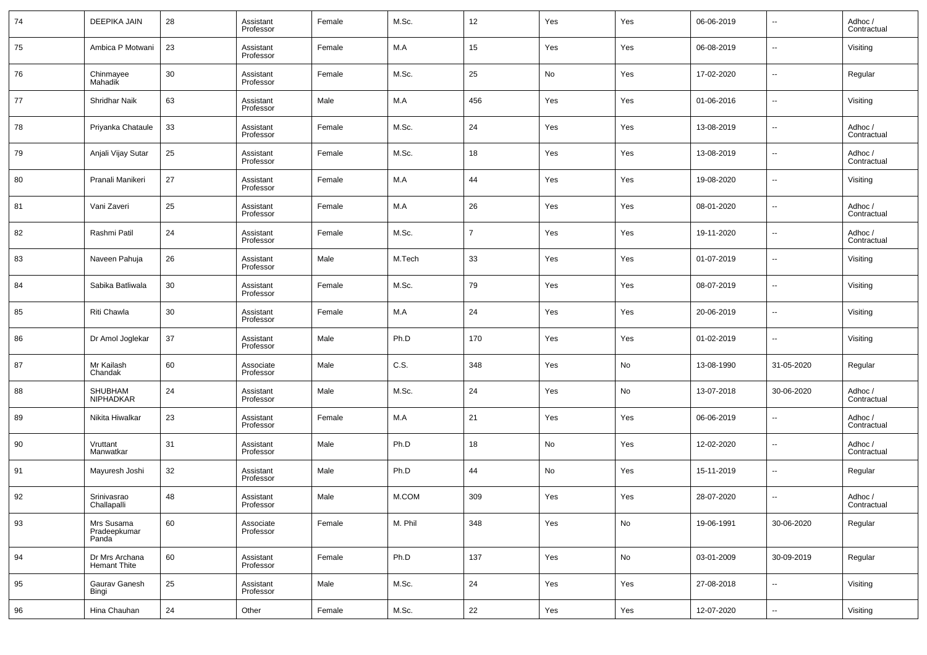| 74 | <b>DEEPIKA JAIN</b>                 | 28 | Assistant<br>Professor | Female | M.Sc.   | 12             | Yes | Yes | 06-06-2019 | $\overline{\phantom{a}}$ | Adhoc /<br>Contractual |
|----|-------------------------------------|----|------------------------|--------|---------|----------------|-----|-----|------------|--------------------------|------------------------|
| 75 | Ambica P Motwani                    | 23 | Assistant<br>Professor | Female | M.A     | 15             | Yes | Yes | 06-08-2019 | $\overline{\phantom{a}}$ | Visiting               |
| 76 | Chinmayee<br>Mahadik                | 30 | Assistant<br>Professor | Female | M.Sc.   | 25             | No  | Yes | 17-02-2020 | $\overline{\phantom{a}}$ | Regular                |
| 77 | Shridhar Naik                       | 63 | Assistant<br>Professor | Male   | M.A     | 456            | Yes | Yes | 01-06-2016 | --                       | Visiting               |
| 78 | Priyanka Chataule                   | 33 | Assistant<br>Professor | Female | M.Sc.   | 24             | Yes | Yes | 13-08-2019 | --                       | Adhoc /<br>Contractual |
| 79 | Anjali Vijay Sutar                  | 25 | Assistant<br>Professor | Female | M.Sc.   | 18             | Yes | Yes | 13-08-2019 | --                       | Adhoc /<br>Contractual |
| 80 | Pranali Manikeri                    | 27 | Assistant<br>Professor | Female | M.A     | 44             | Yes | Yes | 19-08-2020 | $\overline{\phantom{a}}$ | Visiting               |
| 81 | Vani Zaveri                         | 25 | Assistant<br>Professor | Female | M.A     | 26             | Yes | Yes | 08-01-2020 | --                       | Adhoc /<br>Contractual |
| 82 | Rashmi Patil                        | 24 | Assistant<br>Professor | Female | M.Sc.   | $\overline{7}$ | Yes | Yes | 19-11-2020 | --                       | Adhoc /<br>Contractual |
| 83 | Naveen Pahuja                       | 26 | Assistant<br>Professor | Male   | M.Tech  | 33             | Yes | Yes | 01-07-2019 | $\overline{\phantom{a}}$ | Visiting               |
| 84 | Sabika Batliwala                    | 30 | Assistant<br>Professor | Female | M.Sc.   | 79             | Yes | Yes | 08-07-2019 | --                       | Visiting               |
| 85 | Riti Chawla                         | 30 | Assistant<br>Professor | Female | M.A     | 24             | Yes | Yes | 20-06-2019 | $\overline{\phantom{a}}$ | Visiting               |
| 86 | Dr Amol Joglekar                    | 37 | Assistant<br>Professor | Male   | Ph.D    | 170            | Yes | Yes | 01-02-2019 | $\overline{\phantom{a}}$ | Visiting               |
| 87 | Mr Kailash<br>Chandak               | 60 | Associate<br>Professor | Male   | C.S.    | 348            | Yes | No  | 13-08-1990 | 31-05-2020               | Regular                |
| 88 | SHUBHAM<br><b>NIPHADKAR</b>         | 24 | Assistant<br>Professor | Male   | M.Sc.   | 24             | Yes | No  | 13-07-2018 | 30-06-2020               | Adhoc /<br>Contractual |
| 89 | Nikita Hiwalkar                     | 23 | Assistant<br>Professor | Female | M.A     | 21             | Yes | Yes | 06-06-2019 | $\overline{\phantom{a}}$ | Adhoc /<br>Contractual |
| 90 | Vruttant<br>Manwatkar               | 31 | Assistant<br>Professor | Male   | Ph.D    | 18             | No  | Yes | 12-02-2020 | --                       | Adhoc /<br>Contractual |
| 91 | Mayuresh Joshi                      | 32 | Assistant<br>Professor | Male   | Ph.D    | 44             | No  | Yes | 15-11-2019 | --                       | Regular                |
| 92 | Srinivasrao<br>Challapalli          | 48 | Assistant<br>Professor | Male   | M.COM   | 309            | Yes | Yes | 28-07-2020 | $\overline{\phantom{a}}$ | Adhoc /<br>Contractual |
| 93 | Mrs Susama<br>Pradeepkumar<br>Panda | 60 | Associate<br>Professor | Female | M. Phil | 348            | Yes | No  | 19-06-1991 | 30-06-2020               | Regular                |
| 94 | Dr Mrs Archana<br>Hemant Thite      | 60 | Assistant<br>Professor | Female | Ph.D    | 137            | Yes | No  | 03-01-2009 | 30-09-2019               | Regular                |
| 95 | Gaurav Ganesh<br>Bingi              | 25 | Assistant<br>Professor | Male   | M.Sc.   | 24             | Yes | Yes | 27-08-2018 | $\sim$                   | Visiting               |
| 96 | Hina Chauhan                        | 24 | Other                  | Female | M.Sc.   | 22             | Yes | Yes | 12-07-2020 | $\overline{\phantom{a}}$ | Visiting               |